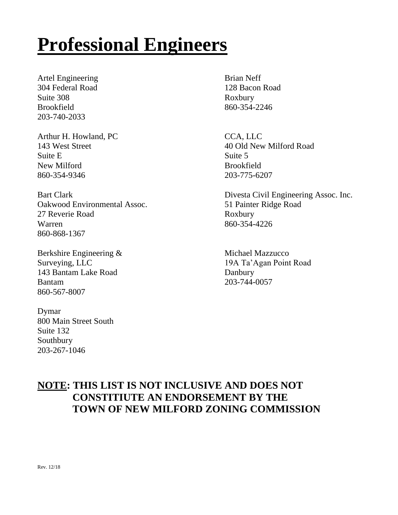## **Professional Engineers**

Artel Engineering Brian Neff 304 Federal Road 128 Bacon Road Suite 308 Roxbury Brookfield 860-354-2246 203-740-2033

Arthur H. Howland, PC CCA, LLC Suite E Suite 5 New Milford Brookfield 860-354-9346 203-775-6207

Oakwood Environmental Assoc. 51 Painter Ridge Road 27 Reverie Road Roxbury Warren 2001 - 860-354-4226 860-868-1367

Berkshire Engineering & Michael Mazzucco 143 Bantam Lake Road Danbury Bantam 203-744-0057 860-567-8007

Dymar 800 Main Street South Suite 132 Southbury 203-267-1046

143 West Street 40 Old New Milford Road

Bart Clark Divesta Civil Engineering Assoc. Inc.

Surveying, LLC 19A Ta'Agan Point Road

## **NOTE: THIS LIST IS NOT INCLUSIVE AND DOES NOT CONSTITIUTE AN ENDORSEMENT BY THE TOWN OF NEW MILFORD ZONING COMMISSION**